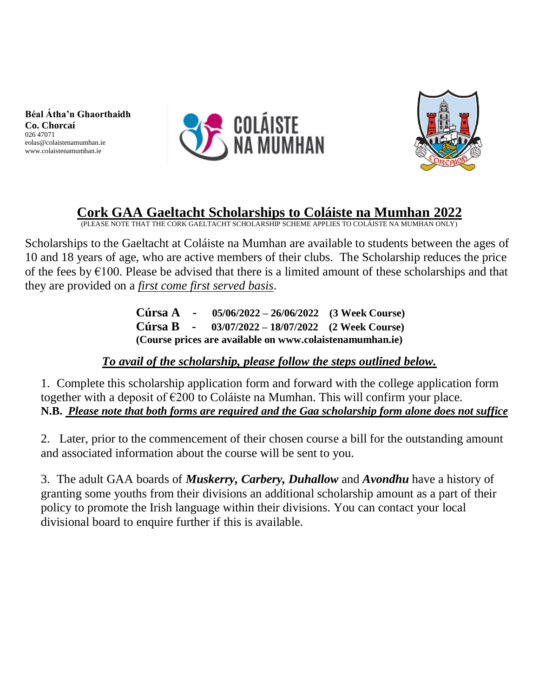**Béal Átha'n Ghaorthaidh Co. Chorcaí** 026 47071 eolas@colaistenamumhan.ie www.colaistenamumhan.ie





## **Cork GAA Gaeltacht Scholarships to Coláiste na Mumhan 2022**

(PLEASE NOTE THAT THE CORK GAELTACHT SCHOLARSHIP SCHEME APPLIES TO COLÁISTE NA MUMHAN ONLY)

Scholarships to the Gaeltacht at Coláiste na Mumhan are available to students between the ages of 10 and 18 years of age, who are active members of their clubs. The Scholarship reduces the price of the fees by  $\epsilon$ 100. Please be advised that there is a limited amount of these scholarships and that they are provided on a *first come first served basis*.

> **Cúrsa A - 05/06/2022 – 26/06/2022 (3 Week Course) Cúrsa B - 03/07/2022 – 18/07/2022 (2 Week Course) (Course prices are available on www.colaistenamumhan.ie)**

## *To avail of the scholarship, please follow the steps outlined below.*

1. Complete this scholarship application form and forward with the college application form together with a deposit of €200 to Coláiste na Mumhan. This will confirm your place. **N.B.** *Please note that both forms are required and the Gaa scholarship form alone does not suffice*

2. Later, prior to the commencement of their chosen course a bill for the outstanding amount and associated information about the course will be sent to you.

3. The adult GAA boards of *Muskerry, Carbery, Duhallow* and *Avondhu* have a history of granting some youths from their divisions an additional scholarship amount as a part of their policy to promote the Irish language within their divisions. You can contact your local divisional board to enquire further if this is available.